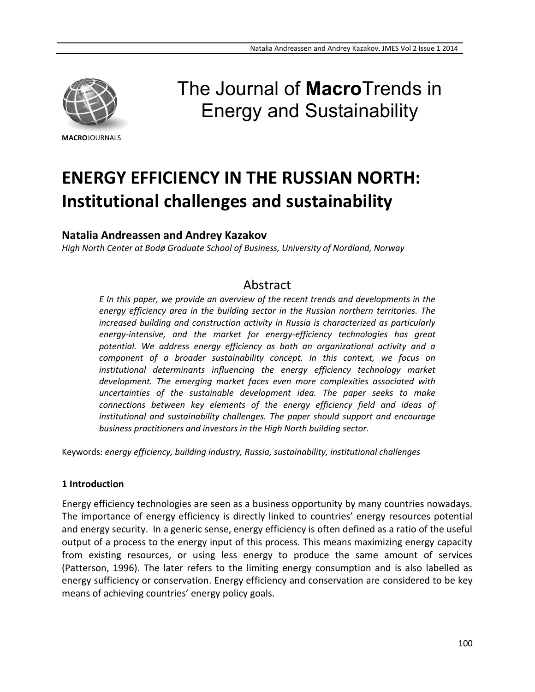

#### **MACRO**JOURNALS

# The Journal of **Macro**Trends in Energy and Sustainability

# **ENERGY EFFICIENCY IN THE RUSSIAN NORTH: Institutional challenges and sustainability**

# **Natalia Andreassen and Andrey Kazakov**

*High North Center at Bodø Graduate School of Business, University of Nordland, Norway*

# Abstract

*E In this paper, we provide an overview of the recent trends and developments in the energy efficiency area in the building sector in the Russian northern territories. The increased building and construction activity in Russia is characterized as particularly energy-intensive, and the market for energy-efficiency technologies has great potential. We address energy efficiency as both an organizational activity and a component of a broader sustainability concept. In this context, we focus on institutional determinants influencing the energy efficiency technology market development. The emerging market faces even more complexities associated with uncertainties of the sustainable development idea. The paper seeks to make connections between key elements of the energy efficiency field and ideas of institutional and sustainability challenges. The paper should support and encourage business practitioners and investors in the High North building sector.*

Keywords: *energy efficiency, building industry, Russia, sustainability, institutional challenges*

#### **1 Introduction**

Energy efficiency technologies are seen as a business opportunity by many countries nowadays. The importance of energy efficiency is directly linked to countries' energy resources potential and energy security. In a generic sense, energy efficiency is often defined as a ratio of the useful output of a process to the energy input of this process. This means maximizing energy capacity from existing resources, or using less energy to produce the same amount of services (Patterson, 1996). The later refers to the limiting energy consumption and is also labelled as energy sufficiency or conservation. Energy efficiency and conservation are considered to be key means of achieving countries' energy policy goals.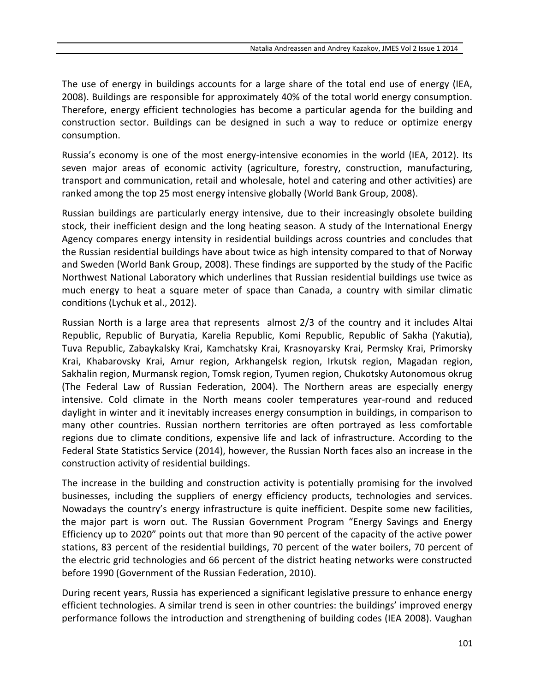The use of energy in buildings accounts for a large share of the total end use of energy (IEA, 2008). Buildings are responsible for approximately 40% of the total world energy consumption. Therefore, energy efficient technologies has become a particular agenda for the building and construction sector. Buildings can be designed in such a way to reduce or optimize energy consumption.

Russia's economy is one of the most energy-intensive economies in the world (IEA, 2012). Its seven major areas of economic activity (agriculture, forestry, construction, manufacturing, transport and communication, retail and wholesale, hotel and catering and other activities) are ranked among the top 25 most energy intensive globally (World Bank Group, 2008).

Russian buildings are particularly energy intensive, due to their increasingly obsolete building stock, their inefficient design and the long heating season. A study of the International Energy Agency compares energy intensity in residential buildings across countries and concludes that the Russian residential buildings have about twice as high intensity compared to that of Norway and Sweden (World Bank Group, 2008). These findings are supported by the study of the Pacific Northwest National Laboratory which underlines that Russian residential buildings use twice as much energy to heat a square meter of space than Canada, a country with similar climatic conditions (Lychuk et al., 2012).

Russian North is a large area that represents almost 2/3 of the country and it includes Altai Republic, Republic of Buryatia, Karelia Republic, Komi Republic, Republic of Sakha (Yakutia), Tuva Republic, Zabaykalsky Krai, Kamchatsky Krai, Krasnoyarsky Krai, Permsky Krai, Primorsky Krai, Khabarovsky Krai, Amur region, Arkhangelsk region, Irkutsk region, Magadan region, Sakhalin region, Murmansk region, Tomsk region, Tyumen region, Chukotsky Autonomous okrug (The Federal Law of Russian Federation, 2004). The Northern areas are especially energy intensive. Cold climate in the North means cooler temperatures year-round and reduced daylight in winter and it inevitably increases energy consumption in buildings, in comparison to many other countries. Russian northern territories are often portrayed as less comfortable regions due to climate conditions, expensive life and lack of infrastructure. According to the Federal State Statistics Service (2014), however, the Russian North faces also an increase in the construction activity of residential buildings.

The increase in the building and construction activity is potentially promising for the involved businesses, including the suppliers of energy efficiency products, technologies and services. Nowadays the country's energy infrastructure is quite inefficient. Despite some new facilities, the major part is worn out. The Russian Government Program "Energy Savings and Energy Efficiency up to 2020" points out that more than 90 percent of the capacity of the active power stations, 83 percent of the residential buildings, 70 percent of the water boilers, 70 percent of the electric grid technologies and 66 percent of the district heating networks were constructed before 1990 (Government of the Russian Federation, 2010).

During recent years, Russia has experienced a significant legislative pressure to enhance energy efficient technologies. A similar trend is seen in other countries: the buildings' improved energy performance follows the introduction and strengthening of building codes (IEA 2008). Vaughan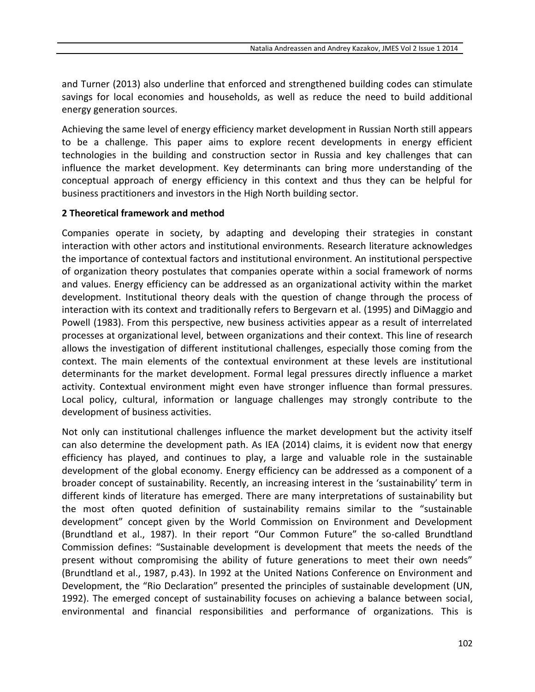and Turner (2013) also underline that enforced and strengthened building codes can stimulate savings for local economies and households, as well as reduce the need to build additional energy generation sources.

Achieving the same level of energy efficiency market development in Russian North still appears to be a challenge. This paper aims to explore recent developments in energy efficient technologies in the building and construction sector in Russia and key challenges that can influence the market development. Key determinants can bring more understanding of the conceptual approach of energy efficiency in this context and thus they can be helpful for business practitioners and investors in the High North building sector.

#### **2 Theoretical framework and method**

Companies operate in society, by adapting and developing their strategies in constant interaction with other actors and institutional environments. Research literature acknowledges the importance of contextual factors and institutional environment. An institutional perspective of organization theory postulates that companies operate within a social framework of norms and values. Energy efficiency can be addressed as an organizational activity within the market development. Institutional theory deals with the question of change through the process of interaction with its context and traditionally refers to Bergevarn et al. (1995) and DiMaggio and Powell (1983). From this perspective, new business activities appear as a result of interrelated processes at organizational level, between organizations and their context. This line of research allows the investigation of different institutional challenges, especially those coming from the context. The main elements of the contextual environment at these levels are institutional determinants for the market development. Formal legal pressures directly influence a market activity. Contextual environment might even have stronger influence than formal pressures. Local policy, cultural, information or language challenges may strongly contribute to the development of business activities.

Not only can institutional challenges influence the market development but the activity itself can also determine the development path. As IEA (2014) claims, it is evident now that energy efficiency has played, and continues to play, a large and valuable role in the sustainable development of the global economy. Energy efficiency can be addressed as a component of a broader concept of sustainability. Recently, an increasing interest in the 'sustainability' term in different kinds of literature has emerged. There are many interpretations of sustainability but the most often quoted definition of sustainability remains similar to the "sustainable development" concept given by the World Commission on Environment and Development (Brundtland et al., 1987). In their report "Our Common Future" the so-called Brundtland Commission defines: "Sustainable development is development that meets the needs of the present without compromising the ability of future generations to meet their own needs" (Brundtland et al., 1987, p.43). In 1992 at the United Nations Conference on Environment and Development, the "Rio Declaration" presented the principles of sustainable development (UN, 1992). The emerged concept of sustainability focuses on achieving a balance between social, environmental and financial responsibilities and performance of organizations. This is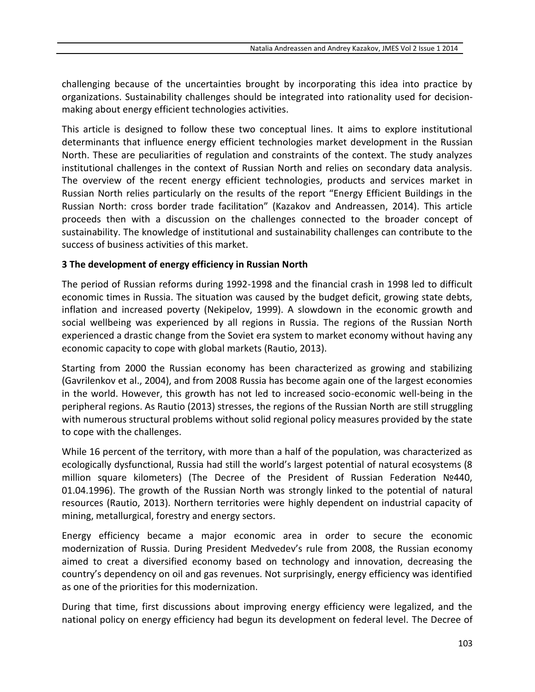challenging because of the uncertainties brought by incorporating this idea into practice by organizations. Sustainability challenges should be integrated into rationality used for decisionmaking about energy efficient technologies activities.

This article is designed to follow these two conceptual lines. It aims to explore institutional determinants that influence energy efficient technologies market development in the Russian North. These are peculiarities of regulation and constraints of the context. The study analyzes institutional challenges in the context of Russian North and relies on secondary data analysis. The overview of the recent energy efficient technologies, products and services market in Russian North relies particularly on the results of the report "Energy Efficient Buildings in the Russian North: cross border trade facilitation" (Kazakov and Andreassen, 2014). This article proceeds then with a discussion on the challenges connected to the broader concept of sustainability. The knowledge of institutional and sustainability challenges can contribute to the success of business activities of this market.

#### **3 The development of energy efficiency in Russian North**

The period of Russian reforms during 1992-1998 and the financial crash in 1998 led to difficult economic times in Russia. The situation was caused by the budget deficit, growing state debts, inflation and increased poverty (Nekipelov, 1999). A slowdown in the economic growth and social wellbeing was experienced by all regions in Russia. The regions of the Russian North experienced a drastic change from the Soviet era system to market economy without having any economic capacity to cope with global markets (Rautio, 2013).

Starting from 2000 the Russian economy has been characterized as growing and stabilizing (Gavrilenkov et al., 2004), and from 2008 Russia has become again one of the largest economies in the world. However, this growth has not led to increased socio-economic well-being in the peripheral regions. As Rautio (2013) stresses, the regions of the Russian North are still struggling with numerous structural problems without solid regional policy measures provided by the state to cope with the challenges.

While 16 percent of the territory, with more than a half of the population, was characterized as ecologically dysfunctional, Russia had still the world's largest potential of natural ecosystems (8 million square kilometers) (The Decree of the President of Russian Federation №440, 01.04.1996). The growth of the Russian North was strongly linked to the potential of natural resources (Rautio, 2013). Northern territories were highly dependent on industrial capacity of mining, metallurgical, forestry and energy sectors.

Energy efficiency became a major economic area in order to secure the economic modernization of Russia. During President Medvedev's rule from 2008, the Russian economy aimed to creat a diversified economy based on technology and innovation, decreasing the country's dependency on oil and gas revenues. Not surprisingly, energy efficiency was identified as one of the priorities for this modernization.

During that time, first discussions about improving energy efficiency were legalized, and the national policy on energy efficiency had begun its development on federal level. The Decree of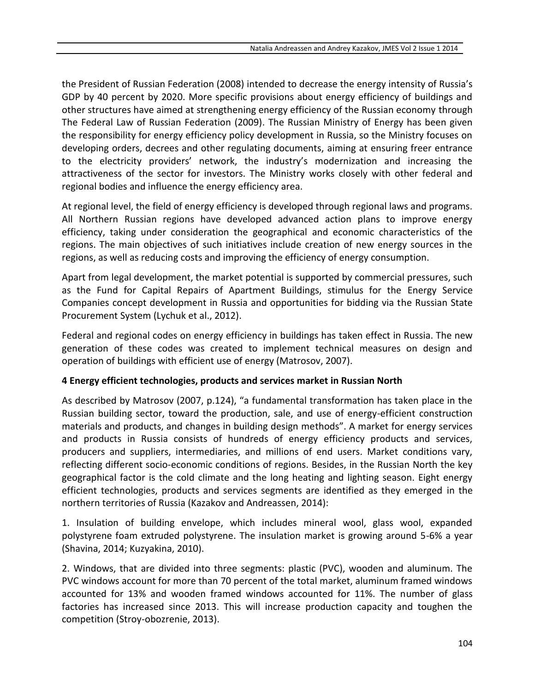the President of Russian Federation (2008) intended to decrease the energy intensity of Russia's GDP by 40 percent by 2020. More specific provisions about energy efficiency of buildings and other structures have aimed at strengthening energy efficiency of the Russian economy through The Federal Law of Russian Federation (2009). The Russian Ministry of Energy has been given the responsibility for energy efficiency policy development in Russia, so the Ministry focuses on developing orders, decrees and other regulating documents, aiming at ensuring freer entrance to the electricity providers' network, the industry's modernization and increasing the attractiveness of the sector for investors. The Ministry works closely with other federal and regional bodies and influence the energy efficiency area.

At regional level, the field of energy efficiency is developed through regional laws and programs. All Northern Russian regions have developed advanced action plans to improve energy efficiency, taking under consideration the geographical and economic characteristics of the regions. The main objectives of such initiatives include creation of new energy sources in the regions, as well as reducing costs and improving the efficiency of energy consumption.

Apart from legal development, the market potential is supported by commercial pressures, such as the Fund for Capital Repairs of Apartment Buildings, stimulus for the Energy Service Companies concept development in Russia and opportunities for bidding via the Russian State Procurement System (Lychuk et al., 2012).

Federal and regional codes on energy efficiency in buildings has taken effect in Russia. The new generation of these codes was created to implement technical measures on design and operation of buildings with efficient use of energy (Matrosov, 2007).

## **4 Energy efficient technologies, products and services market in Russian North**

As described by Matrosov (2007, p.124), "a fundamental transformation has taken place in the Russian building sector, toward the production, sale, and use of energy-efficient construction materials and products, and changes in building design methods". A market for energy services and products in Russia consists of hundreds of energy efficiency products and services, producers and suppliers, intermediaries, and millions of end users. Market conditions vary, reflecting different socio-economic conditions of regions. Besides, in the Russian North the key geographical factor is the cold climate and the long heating and lighting season. Eight energy efficient technologies, products and services segments are identified as they emerged in the northern territories of Russia (Kazakov and Andreassen, 2014):

1. Insulation of building envelope, which includes mineral wool, glass wool, expanded polystyrene foam extruded polystyrene. The insulation market is growing around 5-6% a year (Shavina, 2014; Kuzyakina, 2010).

2. Windows, that are divided into three segments: plastic (PVC), wooden and aluminum. The PVC windows account for more than 70 percent of the total market, aluminum framed windows accounted for 13% and wooden framed windows accounted for 11%. The number of glass factories has increased since 2013. This will increase production capacity and toughen the competition (Stroy-obozrenie, 2013).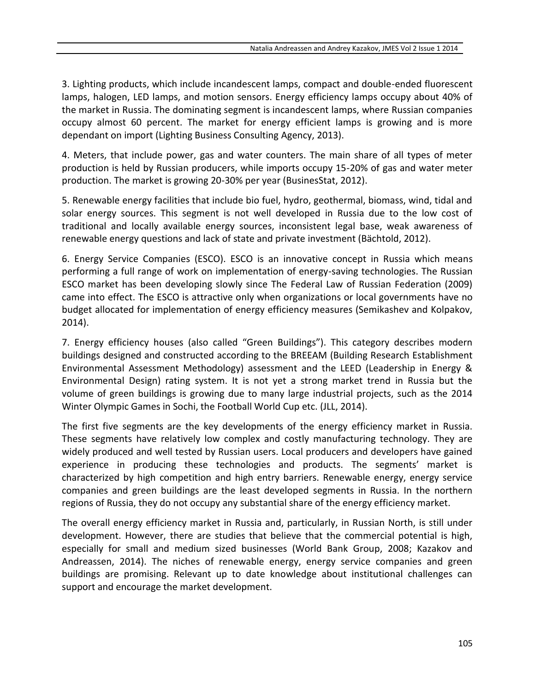3. Lighting products, which include incandescent lamps, compact and double-ended fluorescent lamps, halogen, LED lamps, and motion sensors. Energy efficiency lamps occupy about 40% of the market in Russia. The dominating segment is incandescent lamps, where Russian companies occupy almost 60 percent. The market for energy efficient lamps is growing and is more dependant on import (Lighting Business Consulting Agency, 2013).

4. Meters, that include power, gas and water counters. The main share of all types of meter production is held by Russian producers, while imports occupy 15-20% of gas and water meter production. The market is growing 20-30% per year (BusinesStat, 2012).

5. Renewable energy facilities that include bio fuel, hydro, geothermal, biomass, wind, tidal and solar energy sources. This segment is not well developed in Russia due to the low cost of traditional and locally available energy sources, inconsistent legal base, weak awareness of renewable energy questions and lack of state and private investment (Bächtold, 2012).

6. Energy Service Companies (ESCO). ESCO is an innovative concept in Russia which means performing a full range of work on implementation of energy-saving technologies. The Russian ESCO market has been developing slowly since The Federal Law of Russian Federation (2009) came into effect. The ESCO is attractive only when organizations or local governments have no budget allocated for implementation of energy efficiency measures (Semikashev and Kolpakov, 2014).

7. Energy efficiency houses (also called "Green Buildings"). This category describes modern buildings designed and constructed according to the BREEAM (Building Research Establishment Environmental Assessment Methodology) assessment and the LEED (Leadership in Energy & Environmental Design) rating system. It is not yet a strong market trend in Russia but the volume of green buildings is growing due to many large industrial projects, such as the 2014 Winter Olympic Games in Sochi, the Football World Cup etc. (JLL, 2014).

The first five segments are the key developments of the energy efficiency market in Russia. These segments have relatively low complex and costly manufacturing technology. They are widely produced and well tested by Russian users. Local producers and developers have gained experience in producing these technologies and products. The segments' market is characterized by high competition and high entry barriers. Renewable energy, energy service companies and green buildings are the least developed segments in Russia. In the northern regions of Russia, they do not occupy any substantial share of the energy efficiency market.

The overall energy efficiency market in Russia and, particularly, in Russian North, is still under development. However, there are studies that believe that the commercial potential is high, especially for small and medium sized businesses (World Bank Group, 2008; Kazakov and Andreassen, 2014). The niches of renewable energy, energy service companies and green buildings are promising. Relevant up to date knowledge about institutional challenges can support and encourage the market development.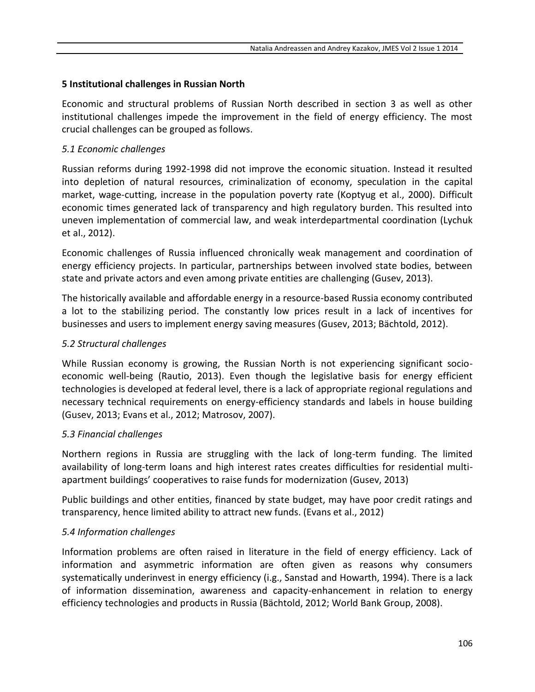#### **5 Institutional challenges in Russian North**

Economic and structural problems of Russian North described in section 3 as well as other institutional challenges impede the improvement in the field of energy efficiency. The most crucial challenges can be grouped as follows.

#### *5.1 Economic challenges*

Russian reforms during 1992-1998 did not improve the economic situation. Instead it resulted into depletion of natural resources, criminalization of economy, speculation in the capital market, wage-cutting, increase in the population poverty rate (Koptyug et al., 2000). Difficult economic times generated lack of transparency and high regulatory burden. This resulted into uneven implementation of commercial law, and weak interdepartmental coordination (Lychuk et al., 2012).

Economic challenges of Russia influenced chronically weak management and coordination of energy efficiency projects. In particular, partnerships between involved state bodies, between state and private actors and even among private entities are challenging (Gusev, 2013).

The historically available and affordable energy in a resource-based Russia economy contributed a lot to the stabilizing period. The constantly low prices result in a lack of incentives for businesses and users to implement energy saving measures (Gusev, 2013; Bächtold, 2012).

#### *5.2 Structural challenges*

While Russian economy is growing, the Russian North is not experiencing significant socioeconomic well-being (Rautio, 2013). Even though the legislative basis for energy efficient technologies is developed at federal level, there is a lack of appropriate regional regulations and necessary technical requirements on energy-efficiency standards and labels in house building (Gusev, 2013; Evans et al., 2012; Matrosov, 2007).

## *5.3 Financial challenges*

Northern regions in Russia are struggling with the lack of long-term funding. The limited availability of long-term loans and high interest rates creates difficulties for residential multiapartment buildings' cooperatives to raise funds for modernization (Gusev, 2013)

Public buildings and other entities, financed by state budget, may have poor credit ratings and transparency, hence limited ability to attract new funds. (Evans et al., 2012)

## *5.4 Information challenges*

Information problems are often raised in literature in the field of energy efficiency. Lack of information and asymmetric information are often given as reasons why consumers systematically underinvest in energy efficiency (i.g., Sanstad and Howarth, 1994). There is a lack of information dissemination, awareness and capacity-enhancement in relation to energy efficiency technologies and products in Russia (Bächtold, 2012; World Bank Group, 2008).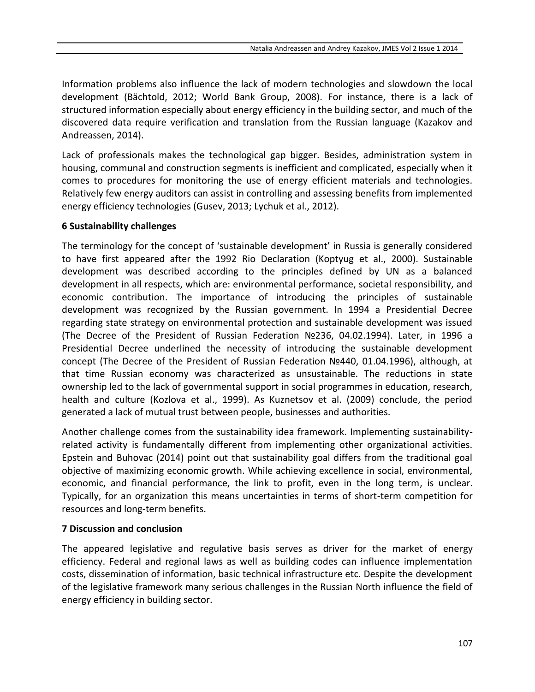Information problems also influence the lack of modern technologies and slowdown the local development (Bächtold, 2012; World Bank Group, 2008). For instance, there is a lack of structured information especially about energy efficiency in the building sector, and much of the discovered data require verification and translation from the Russian language (Kazakov and Andreassen, 2014).

Lack of professionals makes the technological gap bigger. Besides, administration system in housing, communal and construction segments is inefficient and complicated, especially when it comes to procedures for monitoring the use of energy efficient materials and technologies. Relatively few energy auditors can assist in controlling and assessing benefits from implemented energy efficiency technologies (Gusev, 2013; Lychuk et al., 2012).

#### **6 Sustainability challenges**

The terminology for the concept of 'sustainable development' in Russia is generally considered to have first appeared after the 1992 Rio Declaration (Koptyug et al., 2000). Sustainable development was described according to the principles defined by UN as a balanced development in all respects, which are: environmental performance, societal responsibility, and economic contribution. The importance of introducing the principles of sustainable development was recognized by the Russian government. In 1994 a Presidential Decree regarding state strategy on environmental protection and sustainable development was issued (The Decree of the President of Russian Federation №236, 04.02.1994). Later, in 1996 a Presidential Decree underlined the necessity of introducing the sustainable development concept (The Decree of the President of Russian Federation №440, 01.04.1996), although, at that time Russian economy was characterized as unsustainable. The reductions in state ownership led to the lack of governmental support in social programmes in education, research, health and culture (Kozlova et al., 1999). As Kuznetsov et al. (2009) conclude, the period generated a lack of mutual trust between people, businesses and authorities.

Another challenge comes from the sustainability idea framework. Implementing sustainabilityrelated activity is fundamentally different from implementing other organizational activities. Epstein and Buhovac (2014) point out that sustainability goal differs from the traditional goal objective of maximizing economic growth. While achieving excellence in social, environmental, economic, and financial performance, the link to profit, even in the long term, is unclear. Typically, for an organization this means uncertainties in terms of short-term competition for resources and long-term benefits.

#### **7 Discussion and conclusion**

The appeared legislative and regulative basis serves as driver for the market of energy efficiency. Federal and regional laws as well as building codes can influence implementation costs, dissemination of information, basic technical infrastructure etc. Despite the development of the legislative framework many serious challenges in the Russian North influence the field of energy efficiency in building sector.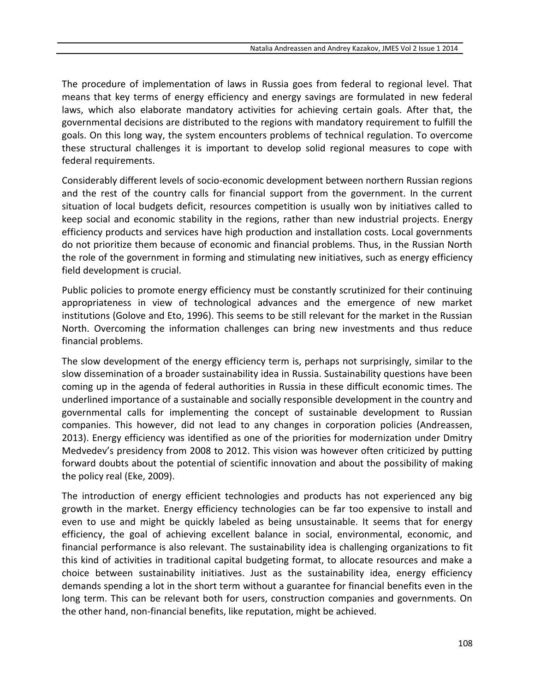The procedure of implementation of laws in Russia goes from federal to regional level. That means that key terms of energy efficiency and energy savings are formulated in new federal laws, which also elaborate mandatory activities for achieving certain goals. After that, the governmental decisions are distributed to the regions with mandatory requirement to fulfill the goals. On this long way, the system encounters problems of technical regulation. To overcome these structural challenges it is important to develop solid regional measures to cope with federal requirements.

Considerably different levels of socio-economic development between northern Russian regions and the rest of the country calls for financial support from the government. In the current situation of local budgets deficit, resources competition is usually won by initiatives called to keep social and economic stability in the regions, rather than new industrial projects. Energy efficiency products and services have high production and installation costs. Local governments do not prioritize them because of economic and financial problems. Thus, in the Russian North the role of the government in forming and stimulating new initiatives, such as energy efficiency field development is crucial.

Public policies to promote energy efficiency must be constantly scrutinized for their continuing appropriateness in view of technological advances and the emergence of new market institutions (Golove and Eto, 1996). This seems to be still relevant for the market in the Russian North. Overcoming the information challenges can bring new investments and thus reduce financial problems.

The slow development of the energy efficiency term is, perhaps not surprisingly, similar to the slow dissemination of a broader sustainability idea in Russia. Sustainability questions have been coming up in the agenda of federal authorities in Russia in these difficult economic times. The underlined importance of a sustainable and socially responsible development in the country and governmental calls for implementing the concept of sustainable development to Russian companies. This however, did not lead to any changes in corporation policies (Andreassen, 2013). Energy efficiency was identified as one of the priorities for modernization under Dmitry Medvedev's presidency from 2008 to 2012. This vision was however often criticized by putting forward doubts about the potential of scientific innovation and about the possibility of making the policy real (Eke, 2009).

The introduction of energy efficient technologies and products has not experienced any big growth in the market. Energy efficiency technologies can be far too expensive to install and even to use and might be quickly labeled as being unsustainable. It seems that for energy efficiency, the goal of achieving excellent balance in social, environmental, economic, and financial performance is also relevant. The sustainability idea is challenging organizations to fit this kind of activities in traditional capital budgeting format, to allocate resources and make a choice between sustainability initiatives. Just as the sustainability idea, energy efficiency demands spending a lot in the short term without a guarantee for financial benefits even in the long term. This can be relevant both for users, construction companies and governments. On the other hand, non-financial benefits, like reputation, might be achieved.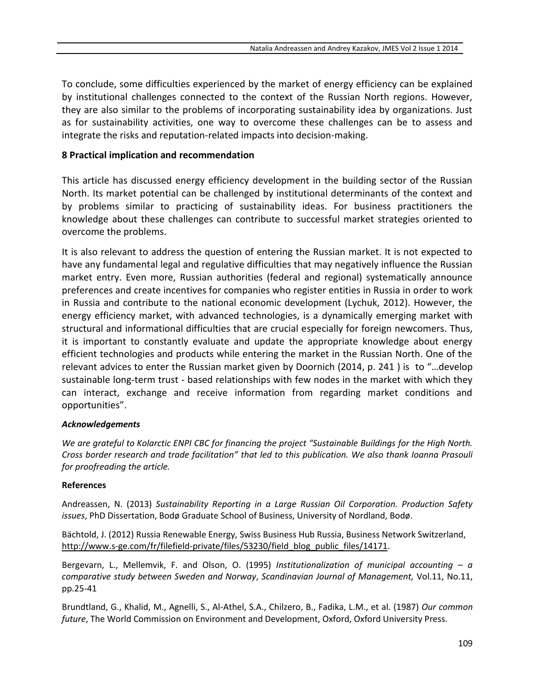To conclude, some difficulties experienced by the market of energy efficiency can be explained by institutional challenges connected to the context of the Russian North regions. However, they are also similar to the problems of incorporating sustainability idea by organizations. Just as for sustainability activities, one way to overcome these challenges can be to assess and integrate the risks and reputation-related impacts into decision-making.

#### **8 Practical implication and recommendation**

This article has discussed energy efficiency development in the building sector of the Russian North. Its market potential can be challenged by institutional determinants of the context and by problems similar to practicing of sustainability ideas. For business practitioners the knowledge about these challenges can contribute to successful market strategies oriented to overcome the problems.

It is also relevant to address the question of entering the Russian market. It is not expected to have any fundamental legal and regulative difficulties that may negatively influence the Russian market entry. Even more, Russian authorities (federal and regional) systematically announce preferences and create incentives for companies who register entities in Russia in order to work in Russia and contribute to the national economic development (Lychuk, 2012). However, the energy efficiency market, with advanced technologies, is a dynamically emerging market with structural and informational difficulties that are crucial especially for foreign newcomers. Thus, it is important to constantly evaluate and update the appropriate knowledge about energy efficient technologies and products while entering the market in the Russian North. One of the relevant advices to enter the Russian market given by Doornich (2014, p. 241 ) is to "…develop sustainable long-term trust - based relationships with few nodes in the market with which they can interact, exchange and receive information from regarding market conditions and opportunities".

#### *Acknowledgements*

*We are grateful to Kolarctic ENPI CBC for financing the project "Sustainable Buildings for the High North. Cross border research and trade facilitation" that led to this publication. We also thank Ioanna Prasouli for proofreading the article.*

#### **References**

Andreassen, N. (2013) *Sustainability Reporting in a Large Russian Oil Corporation. Production Safety issues*, PhD Dissertation, Bodø Graduate School of Business, University of Nordland, Bodø.

Bächtold, J. (2012) Russia Renewable Energy, Swiss Business Hub Russia, Business Network Switzerland, [http://www.s-ge.com/fr/filefield-private/files/53230/field\\_blog\\_public\\_files/14171.](http://www.s-ge.com/fr/filefield-private/files/53230/field_blog_public_files/14171)

Bergevarn, L., Mellemvik, F. and Olson, O. (1995) *Institutionalization of municipal accounting – a comparative study between Sweden and Norway*, *Scandinavian Journal of Management,* Vol.11, No.11, pp.25-41

Brundtland, G., Khalid, M., Agnelli, S., Al-Athel, S.A., Chilzero, B., Fadika, L.M., et al. (1987) *Our common future*, The World Commission on Environment and Development, Oxford, Oxford University Press.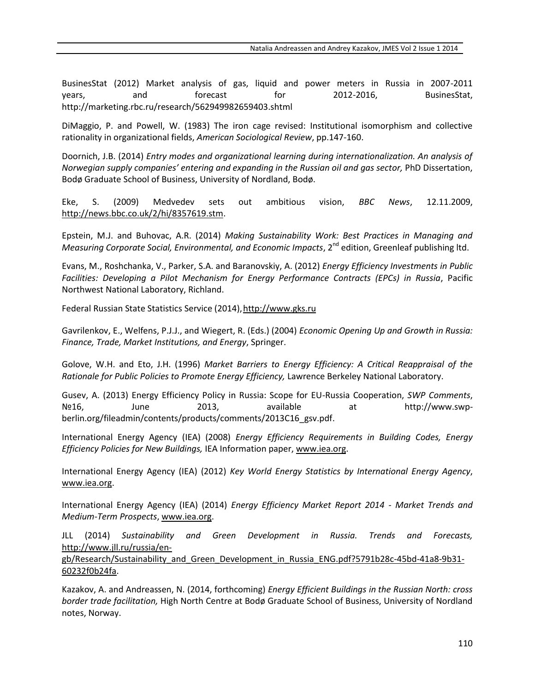BusinesStat (2012) Market analysis of gas, liquid and power meters in Russia in 2007-2011 years, and forecast for 2012-2016, BusinesStat, <http://marketing.rbc.ru/research/562949982659403.shtml>

DiMaggio, P. and Powell, W. (1983) The iron cage revised: Institutional isomorphism and collective rationality in organizational fields, *American Sociological Review*, pp.147-160.

Doornich, J.B. (2014) *Entry modes and organizational learning during internationalization. An analysis of Norwegian supply companies' entering and expanding in the Russian oil and gas sector,* PhD Dissertation, Bodø Graduate School of Business, University of Nordland, Bodø.

Eke, S. (2009) Medvedev sets out ambitious vision, *BBC News*, 12.11.2009, [http://news.bbc.co.uk/2/hi/8357619.stm.](http://news.bbc.co.uk/2/hi/8357619.stm)

Epstein, M.J. and Buhovac, A.R. (2014) *Making Sustainability Work: Best Practices in Managing and*  Measuring Corporate Social, Environmental, and Economic Impacts, 2<sup>nd</sup> edition, Greenleaf publishing ltd.

Evans, M., Roshchanka, V., Parker, S.A. and Baranovskiy, A. (2012) *Energy Efficiency Investments in Public Facilities: Developing a Pilot Mechanism for Energy Performance Contracts (EPCs) in Russia*, Pacific Northwest National Laboratory, Richland.

Federal Russian State Statistics Service (2014)[, http://www.gks.ru](http://www.gks.ru/)

Gavrilenkov, E., Welfens, P.J.J., and Wiegert, R. (Eds.) (2004) *Economic Opening Up and Growth in Russia: Finance, Trade, Market Institutions, and Energy*, Springer.

Golove, W.H. and Eto, J.H. (1996) *Market Barriers to Energy Efficiency: A Critical Reappraisal of the Rationale for Public Policies to Promote Energy Efficiency,* Lawrence Berkeley National Laboratory.

Gusev, A. (2013) Energy Efficiency Policy in Russia: Scope for EU-Russia Cooperation, *SWP Comments*, Nº16, June 2013, available at [http://www.swp](http://www.swp-berlin.org/fileadmin/contents/products/comments/2013C16_gsv.pdf)[berlin.org/fileadmin/contents/products/comments/2013C16\\_gsv.pdf.](http://www.swp-berlin.org/fileadmin/contents/products/comments/2013C16_gsv.pdf)

International Energy Agency (IEA) (2008) *Energy Efficiency Requirements in Building Codes, Energy Efficiency Policies for New Buildings,* IEA Information paper, [www.iea.org.](http://www.iea.org/)

International Energy Agency (IEA) (2012) *Key World Energy Statistics by International Energy Agency*, [www.iea.org.](http://www.iea.org/)

International Energy Agency (IEA) (2014) *Energy Efficiency Market Report 2014 - Market Trends and Medium-Term Prospects*, [www.iea.org.](http://www.iea.org/)

JLL (2014) *Sustainability and Green Development in Russia. Trends and Forecasts,*  [http://www.jll.ru/russia/en-](http://www.jll.ru/russia/en-gb/Research/Sustainability_and_Green_Development_in_Russia_ENG.pdf?5791b28c-45bd-41a8-9b31-60232f0b24fa)

[gb/Research/Sustainability\\_and\\_Green\\_Development\\_in\\_Russia\\_ENG.pdf?5791b28c-45bd-41a8-9b31-](http://www.jll.ru/russia/en-gb/Research/Sustainability_and_Green_Development_in_Russia_ENG.pdf?5791b28c-45bd-41a8-9b31-60232f0b24fa) [60232f0b24fa.](http://www.jll.ru/russia/en-gb/Research/Sustainability_and_Green_Development_in_Russia_ENG.pdf?5791b28c-45bd-41a8-9b31-60232f0b24fa)

Kazakov, A. and Andreassen, N. (2014, forthcoming) *Energy Efficient Buildings in the Russian North: cross border trade facilitation,* High North Centre at Bodø Graduate School of Business, University of Nordland notes, Norway.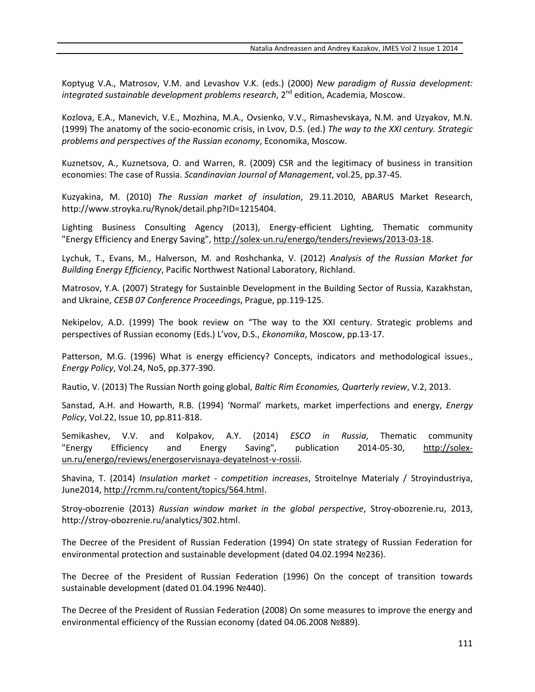Koptyug V.A., Matrosov, V.M. and Levashov V.K. (eds.) (2000) *New paradigm of Russia development: integrated sustainable development problems research*, 2<sup>nd</sup> edition, Academia, Moscow.

Kozlova, E.A., Manevich, V.E., Mozhina, M.A., Ovsienko, V.V., Rimashevskaya, N.M. and Uzyakov, M.N. (1999) The anatomy of the socio-economic crisis, in Lvov, D.S. (ed.) *The way to the XXI century. Strategic problems and perspectives of the Russian economy*, Economika, Moscow.

Kuznetsov, A., Kuznetsova, O. and Warren, R. (2009) CSR and the legitimacy of business in transition economies: The case of Russia. *Scandinavian Journal of Management*, vol.25, pp.37-45.

Kuzyakina, M. (2010) *The Russian market of insulation*, 29.11.2010, ABARUS Market Research, [http://www.stroyka.ru/Rynok/detail.php?ID=1215404.](http://www.stroyka.ru/Rynok/detail.php?ID=1215404)

Lighting Business Consulting Agency (2013), Energy-efficient Lighting, Thematic community "Energy Efficiency and Energy Saving", [http://solex-un.ru/energo/tenders/reviews/2013-03-18.](http://solex-un.ru/energo/tenders/reviews/2013-03-18)

Lychuk, T., Evans, M., Halverson, M. and Roshchanka, V. (2012) *Analysis of the Russian Market for Building Energy Efficiency*, Pacific Northwest National Laboratory, Richland.

Matrosov, Y.A. (2007) Strategy for Sustainble Development in the Building Sector of Russia, Kazakhstan, and Ukraine, *CESB 07 Conference Proceedings*, Prague, pp.119-125.

Nekipelov, A.D. (1999) The book review on "The way to the XXI century. Strategic problems and perspectives of Russian economy (Eds.) L'vov, D.S., *Ekonomika*, Moscow, pp.13-17.

Patterson, M.G. (1996) What is energy efficiency? Concepts, indicators and methodological issues., *Energy Policy*, Vol.24, No5, pp.377-390.

Rautio, V. (2013) The Russian North going global, *Baltic Rim Economies, Quarterly review*, V.2, 2013.

Sanstad, A.H. and Howarth, R.B. (1994) 'Normal' markets, market imperfections and energy, *Energy Policy*, Vol.22, Issue 10, pp.811-818.

Semikashev, V.V. and Kolpakov, A.Y. (2014) *ESCO in Russia*, Thematic community "Energy Efficiency and Energy Saving", publication 2014-05-30, [http://solex](http://solex-un.ru/energo/reviews/energoservisnaya-deyatelnost-v-rossii)[un.ru/energo/reviews/energoservisnaya-deyatelnost-v-rossii.](http://solex-un.ru/energo/reviews/energoservisnaya-deyatelnost-v-rossii)

Shavina, T. (2014) *Insulation market - competition increases*, Stroitelnye Materialy / Stroyindustriya, June2014, [http://rcmm.ru/content/topics/564.html.](http://rcmm.ru/content/topics/564.html)

Stroy-obozrenie (2013) *Russian window market in the global perspective*, Stroy-obozrenie.ru, 2013, [http://stroy-obozrenie.ru/analytics/302.html.](http://stroy-obozrenie.ru/analytics/302.html)

The Decree of the President of Russian Federation (1994) On state strategy of Russian Federation for environmental protection and sustainable development (dated 04.02.1994 №236).

The Decree of the President of Russian Federation (1996) On the concept of transition towards sustainable development (dated 01.04.1996 №440).

The Decree of the President of Russian Federation (2008) On some measures to improve the energy and environmental efficiency of the Russian economy (dated 04.06.2008 №889).